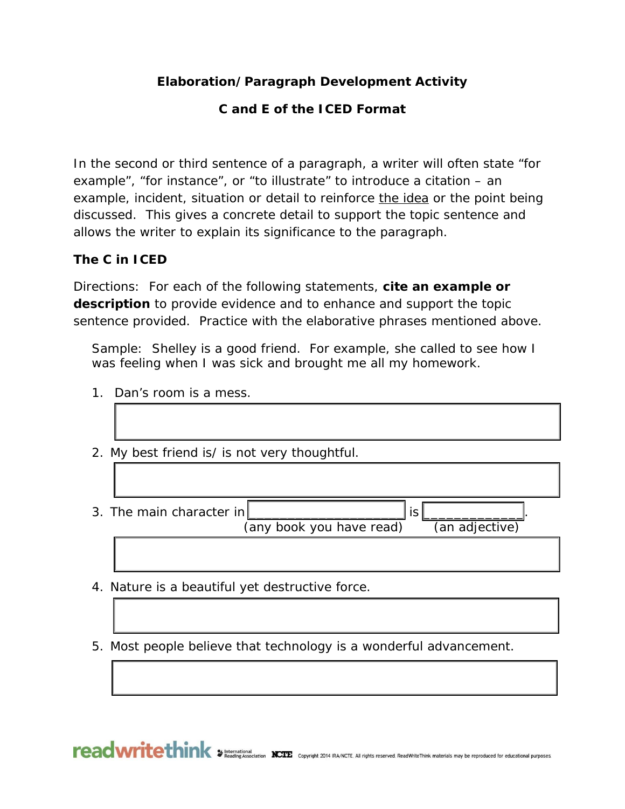## **Elaboration/Paragraph Development Activity**

## **C and E of the ICED Format**

In the second or third sentence of a paragraph, a writer will often state "for example", "for instance", or "to illustrate" to introduce a citation – an example, incident, situation or detail to reinforce the idea or the point being discussed. This gives a concrete detail to support the topic sentence and allows the writer to explain its significance to the paragraph.

## **The C in ICED**

Directions: For each of the following statements, **cite an example or description** to provide evidence and to enhance and support the topic sentence provided. Practice with the elaborative phrases mentioned above.

Sample: Shelley is a good friend. For example, she called to see how I was feeling when I was sick and brought me all my homework.

- 1. Dan's room is a mess.
- 2. My best friend is/ is not very thoughtful.
- 3. The main character in  $\vert$  is  $\vert$

(any book you have read) (an adjective)

4. Nature is a beautiful yet destructive force.

5. Most people believe that technology is a wonderful advancement.

reading Association NCIE Copyright 2014 RA/NCTE. All rights reserved. ReadWriteThink materials may be reproduced for educational purposes.